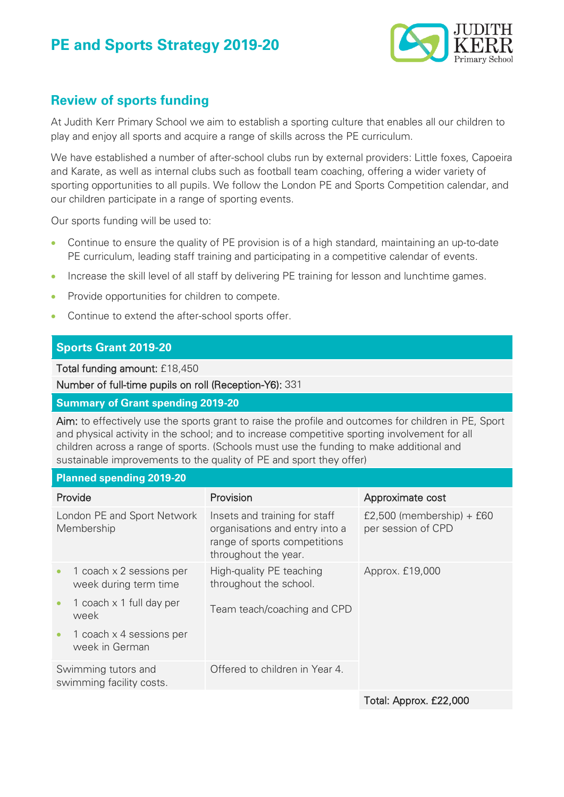# **PE and Sports Strategy 2019-20**



## **Review of sports funding**

At Judith Kerr Primary School we aim to establish a sporting culture that enables all our children to play and enjoy all sports and acquire a range of skills across the PE curriculum.

We have established a number of after-school clubs run by external providers: Little foxes, Capoeira and Karate, as well as internal clubs such as football team coaching, offering a wider variety of sporting opportunities to all pupils. We follow the London PE and Sports Competition calendar, and our children participate in a range of sporting events.

Our sports funding will be used to:

- Continue to ensure the quality of PE provision is of a high standard, maintaining an up-to-date PE curriculum, leading staff training and participating in a competitive calendar of events.
- Increase the skill level of all staff by delivering PE training for lesson and lunchtime games.
- Provide opportunities for children to compete.
- Continue to extend the after-school sports offer.

### **Sports Grant 2019-20**

Total funding amount: £18,450

Number of full-time pupils on roll (Reception-Y6): 331

#### **Summary of Grant spending 2019-20**

Aim: to effectively use the sports grant to raise the profile and outcomes for children in PE, Sport and physical activity in the school; and to increase competitive sporting involvement for all children across a range of sports. (Schools must use the funding to make additional and sustainable improvements to the quality of PE and sport they offer)

#### **Planned spending 2019-20**

| Provide                                         |                                                   | Provision                                                                                                               | Approximate cost                                  |
|-------------------------------------------------|---------------------------------------------------|-------------------------------------------------------------------------------------------------------------------------|---------------------------------------------------|
| London PE and Sport Network<br>Membership       |                                                   | Insets and training for staff<br>organisations and entry into a<br>range of sports competitions<br>throughout the year. | £2,500 (membership) + $£60$<br>per session of CPD |
| $\bullet$                                       | 1 coach x 2 sessions per<br>week during term time | High-quality PE teaching<br>throughout the school.                                                                      | Approx. £19,000                                   |
| $\bullet$                                       | 1 coach x 1 full day per<br>week                  | Team teach/coaching and CPD                                                                                             |                                                   |
| $\bullet$                                       | 1 coach x 4 sessions per<br>week in German        |                                                                                                                         |                                                   |
| Swimming tutors and<br>swimming facility costs. |                                                   | Offered to children in Year 4.                                                                                          |                                                   |
|                                                 |                                                   |                                                                                                                         |                                                   |

Total: Approx. £22,000